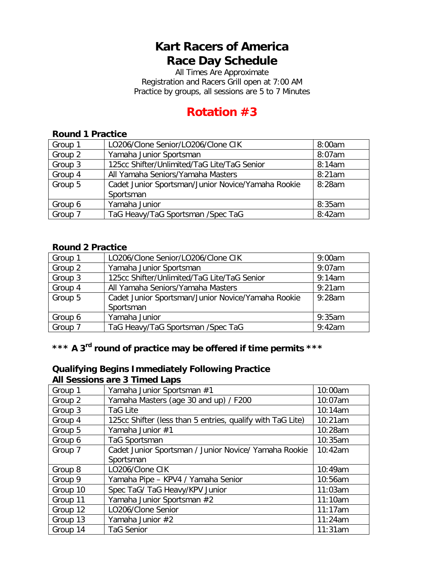# **Kart Racers of America Race Day Schedule**

All Times Are Approximate Registration and Racers Grill open at 7:00 AM Practice by groups, all sessions are 5 to 7 Minutes

# **Rotation #3**

#### **Round 1 Practice**

| Group 1 | LO206/Clone Senior/LO206/Clone CIK                 | 8:00am |
|---------|----------------------------------------------------|--------|
| Group 2 | Yamaha Junior Sportsman                            | 8:07am |
| Group 3 | 125cc Shifter/Unlimited/TaG Lite/TaG Senior        | 8:14am |
| Group 4 | All Yamaha Seniors/Yamaha Masters                  | 8:21am |
| Group 5 | Cadet Junior Sportsman/Junior Novice/Yamaha Rookie | 8:28am |
|         | Sportsman                                          |        |
| Group 6 | Yamaha Junior                                      | 8:35am |
| Group 7 | TaG Heavy/TaG Sportsman /Spec TaG                  | 8:42am |

#### **Round 2 Practice**

| Group 1 | LO206/Clone Senior/LO206/Clone CIK                 | 9:00am    |
|---------|----------------------------------------------------|-----------|
| Group 2 | Yamaha Junior Sportsman                            | $9:07$ am |
| Group 3 | 125cc Shifter/Unlimited/TaG Lite/TaG Senior        | 9:14am    |
| Group 4 | All Yamaha Seniors/Yamaha Masters                  | 9:21am    |
| Group 5 | Cadet Junior Sportsman/Junior Novice/Yamaha Rookie | $9:28$ am |
|         | Sportsman                                          |           |
| Group 6 | Yamaha Junior                                      | 9:35am    |
| Group 7 | TaG Heavy/TaG Sportsman /Spec TaG                  | 9:42am    |

### **\*\*\* A 3rd round of practice may be offered if time permits \*\*\***

#### **Qualifying Begins Immediately Following Practice All Sessions are 3 Timed Laps**

| Group 1  | Yamaha Junior Sportsman #1                                 | 10:00am |
|----------|------------------------------------------------------------|---------|
| Group 2  | Yamaha Masters (age 30 and up) / F200                      | 10:07am |
| Group 3  | <b>TaG Lite</b>                                            | 10:14am |
| Group 4  | 125cc Shifter (less than 5 entries, qualify with TaG Lite) | 10:21am |
| Group 5  | Yamaha Junior #1                                           | 10:28am |
| Group 6  | TaG Sportsman                                              | 10:35am |
| Group 7  | Cadet Junior Sportsman / Junior Novice/ Yamaha Rookie      | 10:42am |
|          | Sportsman                                                  |         |
| Group 8  | LO206/Clone CIK                                            | 10:49am |
| Group 9  | Yamaha Pipe - KPV4 / Yamaha Senior                         | 10:56am |
| Group 10 | Spec TaG/ TaG Heavy/KPV Junior                             | 11:03am |
| Group 11 | Yamaha Junior Sportsman #2                                 | 11:10am |
| Group 12 | LO206/Clone Senior                                         | 11:17am |
| Group 13 | Yamaha Junior #2                                           | 11:24am |
| Group 14 | <b>TaG Senior</b>                                          | 11:31am |